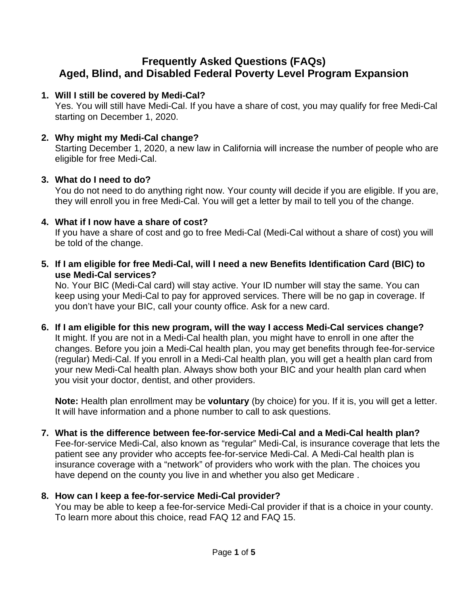# **Frequently Asked Questions (FAQs) Aged, Blind, and Disabled Federal Poverty Level Program Expansion**

#### **1. Will I still be covered by Medi-Cal?**

Yes. You will still have Medi-Cal. If you have a share of cost, you may qualify for free Medi-Cal starting on December 1, 2020.

#### **2. Why might my Medi-Cal change?**

Starting December 1, 2020, a new law in California will increase the number of people who are eligible for free Medi-Cal.

#### **3. What do I need to do?**

You do not need to do anything right now. Your county will decide if you are eligible. If you are, they will enroll you in free Medi-Cal. You will get a letter by mail to tell you of the change.

#### **4. What if I now have a share of cost?**

If you have a share of cost and go to free Medi-Cal (Medi-Cal without a share of cost) you will be told of the change.

**5. If I am eligible for free Medi-Cal, will I need a new Benefits Identification Card (BIC) to use Medi-Cal services?**

No. Your BIC (Medi-Cal card) will stay active. Your ID number will stay the same. You can keep using your Medi-Cal to pay for approved services. There will be no gap in coverage. If you don't have your BIC, call your county office. Ask for a new card.

**6. If I am eligible for this new program, will the way I access Medi-Cal services change?**  It might. If you are not in a Medi-Cal health plan, you might have to enroll in one after the changes. Before you join a Medi-Cal health plan, you may get benefits through fee-for-service (regular) Medi-Cal. If you enroll in a Medi-Cal health plan, you will get a health plan card from your new Medi-Cal health plan. Always show both your BIC and your health plan card when you visit your doctor, dentist, and other providers.

**Note:** Health plan enrollment may be **voluntary** (by choice) for you. If it is, you will get a letter. It will have information and a phone number to call to ask questions.

# **7. What is the difference between fee-for-service Medi-Cal and a Medi-Cal health plan?**

Fee-for-service Medi-Cal, also known as "regular" Medi-Cal, is insurance coverage that lets the patient see any provider who accepts fee-for-service Medi-Cal. A Medi-Cal health plan is insurance coverage with a "network" of providers who work with the plan. The choices you have depend on the county you live in and whether you also get Medicare .

# **8. How can I keep a fee-for-service Medi-Cal provider?**

You may be able to keep a fee-for-service Medi-Cal provider if that is a choice in your county. To learn more about this choice, read FAQ 12 and FAQ 15.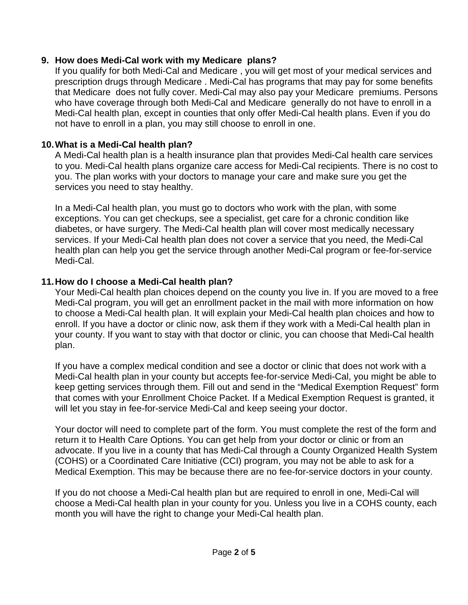#### **9. How does Medi-Cal work with my Medicare plans?**

If you qualify for both Medi-Cal and Medicare , you will get most of your medical services and prescription drugs through Medicare . Medi-Cal has programs that may pay for some benefits that Medicare does not fully cover. Medi-Cal may also pay your Medicare premiums. Persons who have coverage through both Medi-Cal and Medicare generally do not have to enroll in a Medi-Cal health plan, except in counties that only offer Medi-Cal health plans. Even if you do not have to enroll in a plan, you may still choose to enroll in one.

# **10.What is a Medi-Cal health plan?**

A Medi-Cal health plan is a health insurance plan that provides Medi-Cal health care services to you. Medi-Cal health plans organize care access for Medi-Cal recipients. There is no cost to you. The plan works with your doctors to manage your care and make sure you get the services you need to stay healthy.

In a Medi-Cal health plan, you must go to doctors who work with the plan, with some exceptions. You can get checkups, see a specialist, get care for a chronic condition like diabetes, or have surgery. The Medi-Cal health plan will cover most medically necessary services. If your Medi-Cal health plan does not cover a service that you need, the Medi-Cal health plan can help you get the service through another Medi-Cal program or fee-for-service Medi-Cal.

# **11.How do I choose a Medi-Cal health plan?**

Your Medi-Cal health plan choices depend on the county you live in. If you are moved to a free Medi-Cal program, you will get an enrollment packet in the mail with more information on how to choose a Medi-Cal health plan. It will explain your Medi-Cal health plan choices and how to enroll. If you have a doctor or clinic now, ask them if they work with a Medi-Cal health plan in your county. If you want to stay with that doctor or clinic, you can choose that Medi-Cal health plan.

If you have a complex medical condition and see a doctor or clinic that does not work with a Medi-Cal health plan in your county but accepts fee-for-service Medi-Cal, you might be able to keep getting services through them. Fill out and send in the "Medical Exemption Request" form that comes with your Enrollment Choice Packet. If a Medical Exemption Request is granted, it will let you stay in fee-for-service Medi-Cal and keep seeing your doctor.

Your doctor will need to complete part of the form. You must complete the rest of the form and return it to Health Care Options. You can get help from your doctor or clinic or from an advocate. If you live in a county that has Medi-Cal through a County Organized Health System (COHS) or a Coordinated Care Initiative (CCI) program, you may not be able to ask for a Medical Exemption. This may be because there are no fee-for-service doctors in your county.

If you do not choose a Medi-Cal health plan but are required to enroll in one, Medi-Cal will choose a Medi-Cal health plan in your county for you. Unless you live in a COHS county, each month you will have the right to change your Medi-Cal health plan.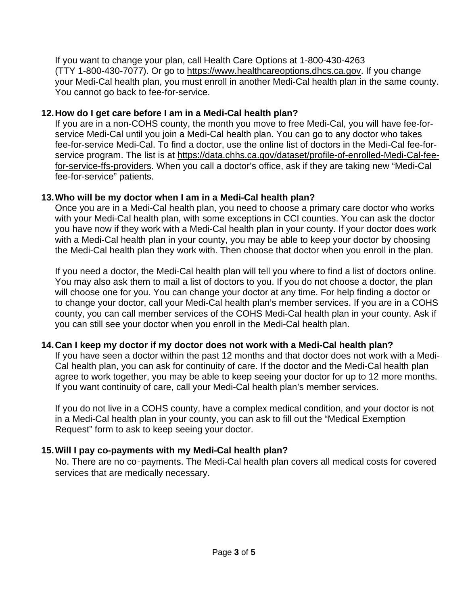If you want to change your plan, call Health Care Options at 1-800-430-4263 (TTY 1-800-430-7077). Or go to [https://www.healthcareoptions.dhcs.ca.gov.](https://www.healthcareoptions.dhcs.ca.gov/) If you change your Medi-Cal health plan, you must enroll in another Medi-Cal health plan in the same county. You cannot go back to fee-for-service.

#### **12.How do I get care before I am in a Medi-Cal health plan?**

If you are in a non-COHS county, the month you move to free Medi-Cal, you will have fee-forservice Medi-Cal until you join a Medi-Cal health plan. You can go to any doctor who takes fee-for-service Medi-Cal. To find a doctor, use the online list of doctors in the Medi-Cal fee-forservice program. The list is at [https://data.chhs.ca.gov/dataset/profile-of-enrolled-Medi-Cal-fee](https://data.chhs.ca.gov/dataset/profile-of-enrolled-medi-cal-fee-for-service-ffs-providers)f<u>or-service-ffs-providers</u>. When you call a doctor's office, ask if they are taking new "Medi-Cal fee-for-service" patients.

#### **13.Who will be my doctor when I am in a Medi-Cal health plan?**

Once you are in a Medi-Cal health plan, you need to choose a primary care doctor who works with your Medi-Cal health plan, with some exceptions in CCI counties. You can ask the doctor you have now if they work with a Medi-Cal health plan in your county. If your doctor does work with a Medi-Cal health plan in your county, you may be able to keep your doctor by choosing the Medi-Cal health plan they work with. Then choose that doctor when you enroll in the plan.

If you need a doctor, the Medi-Cal health plan will tell you where to find a list of doctors online. You may also ask them to mail a list of doctors to you. If you do not choose a doctor, the plan will choose one for you. You can change your doctor at any time. For help finding a doctor or to change your doctor, call your Medi-Cal health plan's member services. If you are in a COHS county, you can call member services of the COHS Medi-Cal health plan in your county. Ask if you can still see your doctor when you enroll in the Medi-Cal health plan.

# **14.Can I keep my doctor if my doctor does not work with a Medi-Cal health plan?**

If you have seen a doctor within the past 12 months and that doctor does not work with a Medi-Cal health plan, you can ask for continuity of care. If the doctor and the Medi-Cal health plan agree to work together, you may be able to keep seeing your doctor for up to 12 more months. If you want continuity of care, call your Medi-Cal health plan's member services.

If you do not live in a COHS county, have a complex medical condition, and your doctor is not in a Medi-Cal health plan in your county, you can ask to fill out the "Medical Exemption Request" form to ask to keep seeing your doctor.

# **15.Will I pay co-payments with my Medi-Cal health plan?**

No. There are no co‑payments. The Medi-Cal health plan covers all medical costs for covered services that are medically necessary.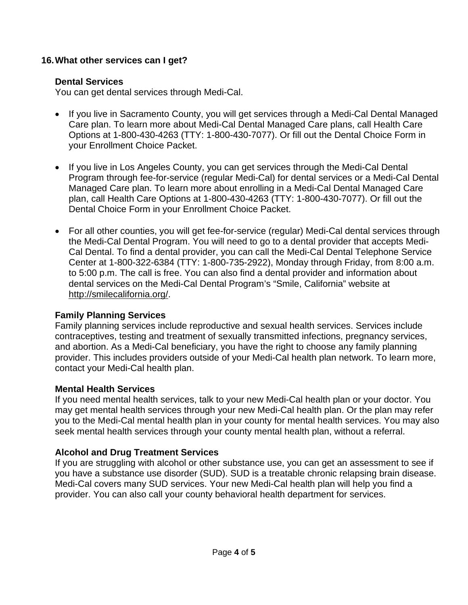#### **16.What other services can I get?**

#### **Dental Services**

You can get dental services through Medi-Cal.

- If you live in Sacramento County, you will get services through a Medi-Cal Dental Managed Care plan. To learn more about Medi-Cal Dental Managed Care plans, call Health Care Options at 1-800-430-4263 (TTY: 1-800-430-7077). Or fill out the Dental Choice Form in your Enrollment Choice Packet.
- If you live in Los Angeles County, you can get services through the Medi-Cal Dental Program through fee-for-service (regular Medi-Cal) for dental services or a Medi-Cal Dental Managed Care plan. To learn more about enrolling in a Medi-Cal Dental Managed Care plan, call Health Care Options at 1-800-430-4263 (TTY: 1-800-430-7077). Or fill out the Dental Choice Form in your Enrollment Choice Packet.
- For all other counties, you will get fee-for-service (regular) Medi-Cal dental services through the Medi-Cal Dental Program. You will need to go to a dental provider that accepts Medi-Cal Dental. To find a dental provider, you can call the Medi-Cal Dental Telephone Service Center at 1-800-322-6384 (TTY: 1-800-735-2922), Monday through Friday, from 8:00 a.m. to 5:00 p.m. The call is free. You can also find a dental provider and information about dental services on the Medi-Cal Dental Program's "Smile, California" website at [http://smilecalifornia.org/.](http://smilecalifornia.org/)

# **Family Planning Services**

Family planning services include reproductive and sexual health services. Services include contraceptives, testing and treatment of sexually transmitted infections, pregnancy services, and abortion. As a Medi-Cal beneficiary, you have the right to choose any family planning provider. This includes providers outside of your Medi-Cal health plan network. To learn more, contact your Medi-Cal health plan.

# **Mental Health Services**

If you need mental health services, talk to your new Medi-Cal health plan or your doctor. You may get mental health services through your new Medi-Cal health plan. Or the plan may refer you to the Medi-Cal mental health plan in your county for mental health services. You may also seek mental health services through your county mental health plan, without a referral.

# **Alcohol and Drug Treatment Services**

If you are struggling with alcohol or other substance use, you can get an assessment to see if you have a substance use disorder (SUD). SUD is a treatable chronic relapsing brain disease. Medi-Cal covers many SUD services. Your new Medi-Cal health plan will help you find a provider. You can also call your county behavioral health department for services.